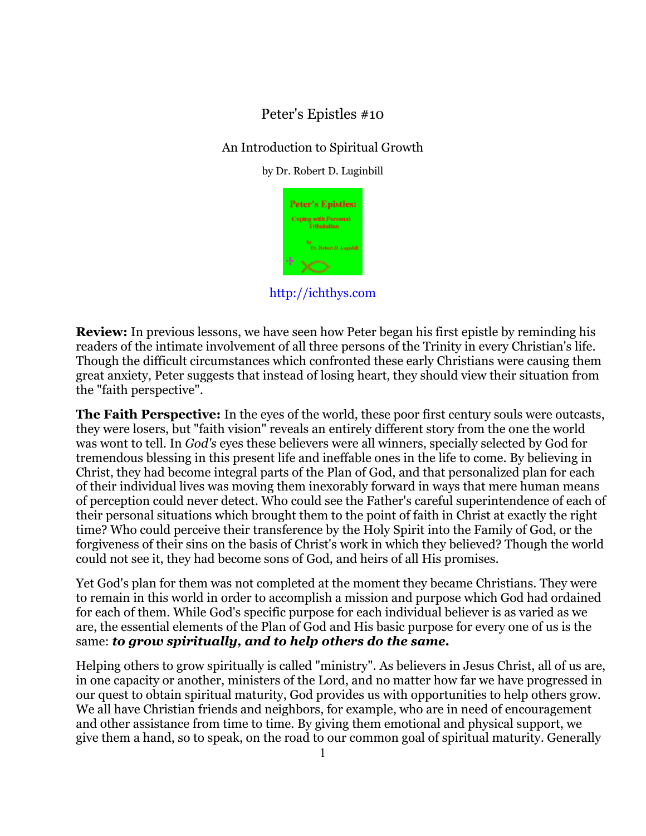# Peter's Epistles #10

## An Introduction to Spiritual Growth

by Dr. Robert D. Luginbill



http://ichthys.com

**Review:** In previous lessons, we have seen how Peter began his first epistle by reminding his readers of the intimate involvement of all three persons of the Trinity in every Christian's life. Though the difficult circumstances which confronted these early Christians were causing them great anxiety, Peter suggests that instead of losing heart, they should view their situation from the "faith perspective".

**The Faith Perspective:** In the eyes of the world, these poor first century souls were outcasts, they were losers, but "faith vision" reveals an entirely different story from the one the world was wont to tell. In *God's* eyes these believers were all winners, specially selected by God for tremendous blessing in this present life and ineffable ones in the life to come. By believing in Christ, they had become integral parts of the Plan of God, and that personalized plan for each of their individual lives was moving them inexorably forward in ways that mere human means of perception could never detect. Who could see the Father's careful superintendence of each of their personal situations which brought them to the point of faith in Christ at exactly the right time? Who could perceive their transference by the Holy Spirit into the Family of God, or the forgiveness of their sins on the basis of Christ's work in which they believed? Though the world could not see it, they had become sons of God, and heirs of all His promises.

Yet God's plan for them was not completed at the moment they became Christians. They were to remain in this world in order to accomplish a mission and purpose which God had ordained for each of them. While God's specific purpose for each individual believer is as varied as we are, the essential elements of the Plan of God and His basic purpose for every one of us is the same: *to grow spiritually, and to help others do the same.* 

Helping others to grow spiritually is called "ministry". As believers in Jesus Christ, all of us are, in one capacity or another, ministers of the Lord, and no matter how far we have progressed in our quest to obtain spiritual maturity, God provides us with opportunities to help others grow. We all have Christian friends and neighbors, for example, who are in need of encouragement and other assistance from time to time. By giving them emotional and physical support, we give them a hand, so to speak, on the road to our common goal of spiritual maturity. Generally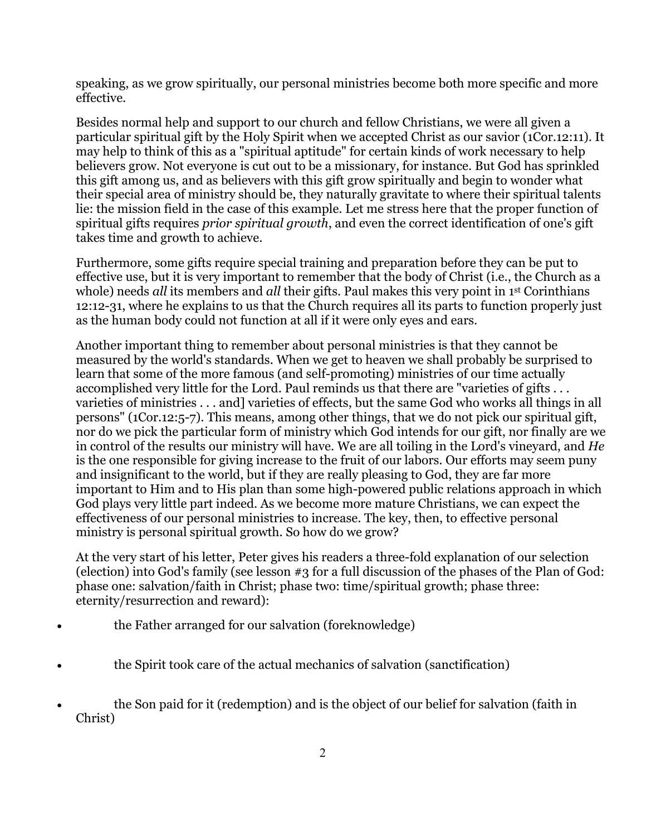speaking, as we grow spiritually, our personal ministries become both more specific and more effective.

Besides normal help and support to our church and fellow Christians, we were all given a particular spiritual gift by the Holy Spirit when we accepted Christ as our savior (1Cor.12:11). It may help to think of this as a "spiritual aptitude" for certain kinds of work necessary to help believers grow. Not everyone is cut out to be a missionary, for instance. But God has sprinkled this gift among us, and as believers with this gift grow spiritually and begin to wonder what their special area of ministry should be, they naturally gravitate to where their spiritual talents lie: the mission field in the case of this example. Let me stress here that the proper function of spiritual gifts requires *prior spiritual growth*, and even the correct identification of one's gift takes time and growth to achieve.

Furthermore, some gifts require special training and preparation before they can be put to effective use, but it is very important to remember that the body of Christ (i.e., the Church as a whole) needs *all* its members and *all* their gifts. Paul makes this very point in 1<sup>st</sup> Corinthians 12:12-31, where he explains to us that the Church requires all its parts to function properly just as the human body could not function at all if it were only eyes and ears.

Another important thing to remember about personal ministries is that they cannot be measured by the world's standards. When we get to heaven we shall probably be surprised to learn that some of the more famous (and self-promoting) ministries of our time actually accomplished very little for the Lord. Paul reminds us that there are "varieties of gifts . . . varieties of ministries . . . and] varieties of effects, but the same God who works all things in all persons" (1Cor.12:5-7). This means, among other things, that we do not pick our spiritual gift, nor do we pick the particular form of ministry which God intends for our gift, nor finally are we in control of the results our ministry will have. We are all toiling in the Lord's vineyard, and *He* is the one responsible for giving increase to the fruit of our labors. Our efforts may seem puny and insignificant to the world, but if they are really pleasing to God, they are far more important to Him and to His plan than some high-powered public relations approach in which God plays very little part indeed. As we become more mature Christians, we can expect the effectiveness of our personal ministries to increase. The key, then, to effective personal ministry is personal spiritual growth. So how do we grow?

At the very start of his letter, Peter gives his readers a three-fold explanation of our selection (election) into God's family (see lesson #3 for a full discussion of the phases of the Plan of God: phase one: salvation/faith in Christ; phase two: time/spiritual growth; phase three: eternity/resurrection and reward):

- the Father arranged for our salvation (foreknowledge)
- the Spirit took care of the actual mechanics of salvation (sanctification)
- the Son paid for it (redemption) and is the object of our belief for salvation (faith in Christ)